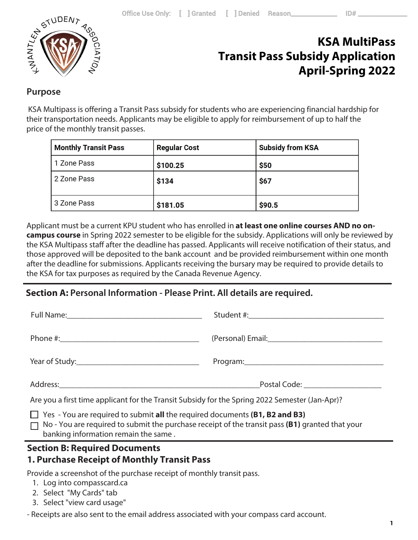

## **KSA MultiPass Transit Pass Subsidy Application April-Spring 2022**

### **Purpose**

 KSA Multipass is offering a Transit Pass subsidy for students who are experiencing financial hardship for their transportation needs. Applicants may be eligible to apply for reimbursement of up to half the price of the monthly transit passes.

| <b>Monthly Transit Pass</b> | <b>Regular Cost</b> | <b>Subsidy from KSA</b> |
|-----------------------------|---------------------|-------------------------|
| 1 Zone Pass                 | \$100.25            | \$50                    |
| 2 Zone Pass                 | \$134               | \$67                    |
| 3 Zone Pass                 | \$181.05            | \$90.5                  |

Applicant must be a current KPU student who has enrolled in **at least one online courses AND no oncampus course** in Spring 2022 semester to be eligible for the subsidy. Applications will only be reviewed by the KSA Multipass staff after the deadline has passed. Applicants will receive notification of their status, and those approved will be deposited to the bank account and be provided reimbursement within one month after the deadline for submissions. Applicants receiving the bursary may be required to provide details to the KSA for tax purposes as required by the Canada Revenue Agency.

## **Section A: Personal Information - Please Print. All details are required.**

|                                                                                                                                                                                                                                      | Postal Code: <u>____________________</u> |
|--------------------------------------------------------------------------------------------------------------------------------------------------------------------------------------------------------------------------------------|------------------------------------------|
| Are you a first time applicant for the Transit Subsidy for the Spring 2022 Semester (Jan-Apr)?                                                                                                                                       |                                          |
| $\Box$ Yes - You are required to submit all the required documents (B1, B2 and B3)<br>$\Box$ No - You are required to submit the purchase receipt of the transit pass (B1) granted that your<br>banking information remain the same. |                                          |

## **Section B: Required Documents**

## **1. Purchase Receipt of Monthly Transit Pass**

Provide a screenshot of the purchase receipt of monthly transit pass.

- 1. Log into compasscard.ca
- 2. Select "My Cards" tab
- 3. Select "view card usage"

- Receipts are also sent to the email address associated with your compass card account.